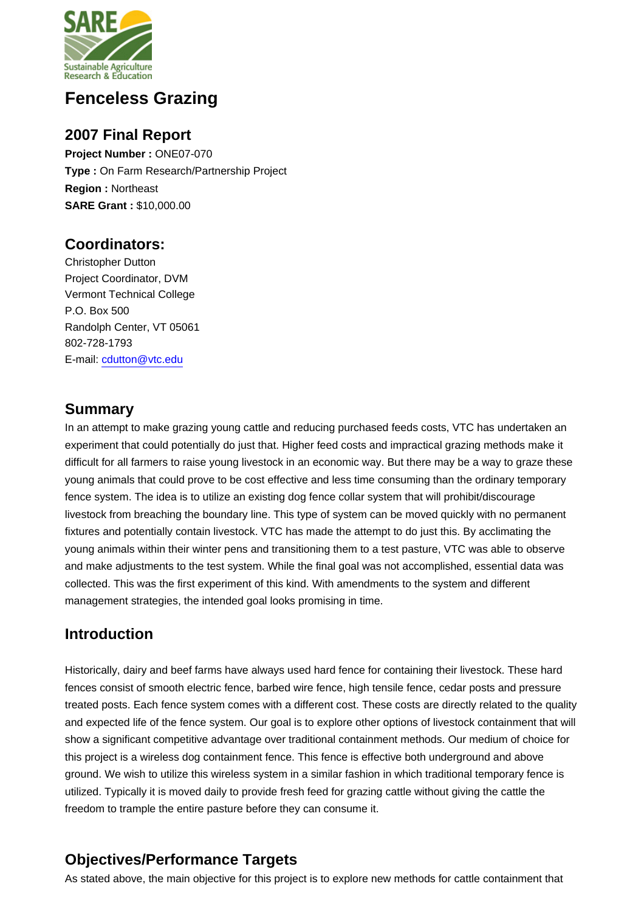

# **Fenceless Grazing**

### **2007 Final Report**

**Project Number :** ONE07-070 **Type :** On Farm Research/Partnership Project **Region :** Northeast **SARE Grant :** \$10,000.00

# **Coordinators:**

Christopher Dutton Project Coordinator, DVM Vermont Technical College P.O. Box 500 Randolph Center, VT 05061 802-728-1793 E-mail: [cdutton@vtc.edu](mailto:cdutton@vtc.edu)

# **Summary**

In an attempt to make grazing young cattle and reducing purchased feeds costs, VTC has undertaken an experiment that could potentially do just that. Higher feed costs and impractical grazing methods make it difficult for all farmers to raise young livestock in an economic way. But there may be a way to graze these young animals that could prove to be cost effective and less time consuming than the ordinary temporary fence system. The idea is to utilize an existing dog fence collar system that will prohibit/discourage livestock from breaching the boundary line. This type of system can be moved quickly with no permanent fixtures and potentially contain livestock. VTC has made the attempt to do just this. By acclimating the young animals within their winter pens and transitioning them to a test pasture, VTC was able to observe and make adjustments to the test system. While the final goal was not accomplished, essential data was collected. This was the first experiment of this kind. With amendments to the system and different management strategies, the intended goal looks promising in time.

# **Introduction**

Historically, dairy and beef farms have always used hard fence for containing their livestock. These hard fences consist of smooth electric fence, barbed wire fence, high tensile fence, cedar posts and pressure treated posts. Each fence system comes with a different cost. These costs are directly related to the quality and expected life of the fence system. Our goal is to explore other options of livestock containment that will show a significant competitive advantage over traditional containment methods. Our medium of choice for this project is a wireless dog containment fence. This fence is effective both underground and above ground. We wish to utilize this wireless system in a similar fashion in which traditional temporary fence is utilized. Typically it is moved daily to provide fresh feed for grazing cattle without giving the cattle the freedom to trample the entire pasture before they can consume it.

# **Objectives/Performance Targets**

As stated above, the main objective for this project is to explore new methods for cattle containment that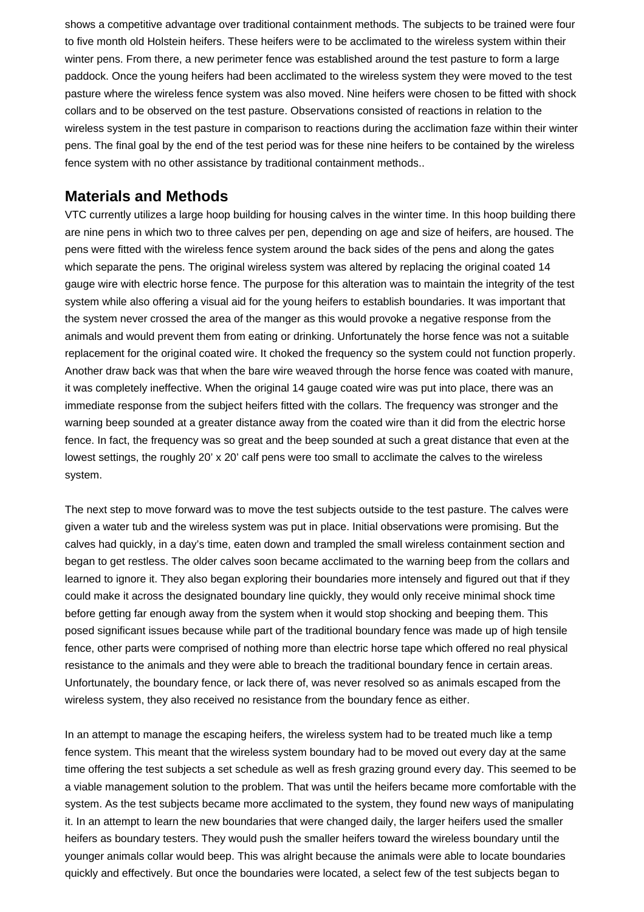shows a competitive advantage over traditional containment methods. The subjects to be trained were four to five month old Holstein heifers. These heifers were to be acclimated to the wireless system within their winter pens. From there, a new perimeter fence was established around the test pasture to form a large paddock. Once the young heifers had been acclimated to the wireless system they were moved to the test pasture where the wireless fence system was also moved. Nine heifers were chosen to be fitted with shock collars and to be observed on the test pasture. Observations consisted of reactions in relation to the wireless system in the test pasture in comparison to reactions during the acclimation faze within their winter pens. The final goal by the end of the test period was for these nine heifers to be contained by the wireless fence system with no other assistance by traditional containment methods..

#### **Materials and Methods**

VTC currently utilizes a large hoop building for housing calves in the winter time. In this hoop building there are nine pens in which two to three calves per pen, depending on age and size of heifers, are housed. The pens were fitted with the wireless fence system around the back sides of the pens and along the gates which separate the pens. The original wireless system was altered by replacing the original coated 14 gauge wire with electric horse fence. The purpose for this alteration was to maintain the integrity of the test system while also offering a visual aid for the young heifers to establish boundaries. It was important that the system never crossed the area of the manger as this would provoke a negative response from the animals and would prevent them from eating or drinking. Unfortunately the horse fence was not a suitable replacement for the original coated wire. It choked the frequency so the system could not function properly. Another draw back was that when the bare wire weaved through the horse fence was coated with manure, it was completely ineffective. When the original 14 gauge coated wire was put into place, there was an immediate response from the subject heifers fitted with the collars. The frequency was stronger and the warning beep sounded at a greater distance away from the coated wire than it did from the electric horse fence. In fact, the frequency was so great and the beep sounded at such a great distance that even at the lowest settings, the roughly 20' x 20' calf pens were too small to acclimate the calves to the wireless system.

The next step to move forward was to move the test subjects outside to the test pasture. The calves were given a water tub and the wireless system was put in place. Initial observations were promising. But the calves had quickly, in a day's time, eaten down and trampled the small wireless containment section and began to get restless. The older calves soon became acclimated to the warning beep from the collars and learned to ignore it. They also began exploring their boundaries more intensely and figured out that if they could make it across the designated boundary line quickly, they would only receive minimal shock time before getting far enough away from the system when it would stop shocking and beeping them. This posed significant issues because while part of the traditional boundary fence was made up of high tensile fence, other parts were comprised of nothing more than electric horse tape which offered no real physical resistance to the animals and they were able to breach the traditional boundary fence in certain areas. Unfortunately, the boundary fence, or lack there of, was never resolved so as animals escaped from the wireless system, they also received no resistance from the boundary fence as either.

In an attempt to manage the escaping heifers, the wireless system had to be treated much like a temp fence system. This meant that the wireless system boundary had to be moved out every day at the same time offering the test subjects a set schedule as well as fresh grazing ground every day. This seemed to be a viable management solution to the problem. That was until the heifers became more comfortable with the system. As the test subjects became more acclimated to the system, they found new ways of manipulating it. In an attempt to learn the new boundaries that were changed daily, the larger heifers used the smaller heifers as boundary testers. They would push the smaller heifers toward the wireless boundary until the younger animals collar would beep. This was alright because the animals were able to locate boundaries quickly and effectively. But once the boundaries were located, a select few of the test subjects began to